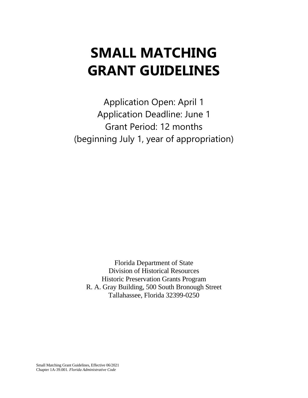# **SMALL MATCHING GRANT GUIDELINES**

Application Open: April 1 Application Deadline: June 1 Grant Period: 12 months (beginning July 1, year of appropriation)

Florida Department of State Division of Historical Resources Historic Preservation Grants Program R. A. Gray Building, 500 South Bronough Street Tallahassee, Florida 32399-0250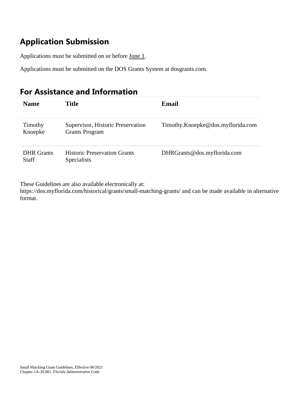# **Application Submission**

Applications must be submitted on or before June 1.

Applications must be submitted on the DOS Grants System at dosgrants.com.

### **For Assistance and Information**

| <b>Name</b>                       | Title                                                      | Email                             |
|-----------------------------------|------------------------------------------------------------|-----------------------------------|
| Timothy<br>Knoepke                | Supervisor, Historic Preservation<br><b>Grants Program</b> | Timothy.Knoepke@dos.myflorida.com |
| <b>DHR</b> Grants<br><b>Staff</b> | <b>Historic Preservation Grants</b><br><b>Specialists</b>  | DHRGrants@dos.myflorida.com       |

These Guidelines are also available electronically at:

https://dos.myflorida.com/historical/grants/small-matching-grants/ and can be made available in alternative format.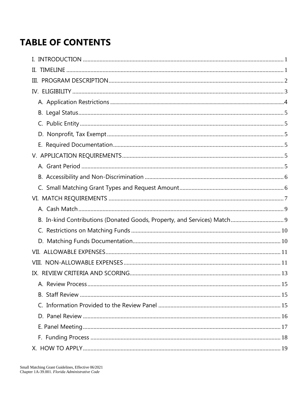# **TABLE OF CONTENTS**

| П. |  |
|----|--|
|    |  |
|    |  |
|    |  |
|    |  |
|    |  |
|    |  |
|    |  |
|    |  |
|    |  |
|    |  |
|    |  |
|    |  |
|    |  |
|    |  |
|    |  |
|    |  |
|    |  |
|    |  |
|    |  |
|    |  |
|    |  |
|    |  |
|    |  |
|    |  |
|    |  |
|    |  |
|    |  |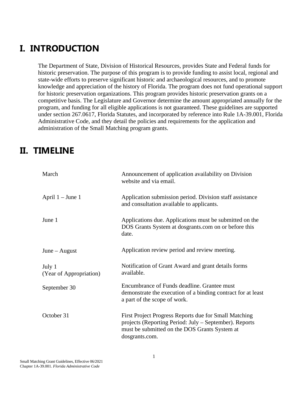# <span id="page-4-0"></span>**I. INTRODUCTION**

The Department of State, Division of Historical Resources, provides State and Federal funds for historic preservation. The purpose of this program is to provide funding to assist local, regional and state-wide efforts to preserve significant historic and archaeological resources, and to promote knowledge and appreciation of the history of Florida. The program does not fund operational support for historic preservation organizations. This program provides historic preservation grants on a competitive basis. The Legislature and Governor determine the amount appropriated annually for the program, and funding for all eligible applications is not guaranteed. These guidelines are supported under section 267.0617, Florida Statutes, and incorporated by reference into Rule 1A-39.001, Florida Administrative Code, and they detail the policies and requirements for the application and administration of the Small Matching program grants.

### <span id="page-4-1"></span>**II. TIMELINE**

| March                             | Announcement of application availability on Division<br>website and via email.                                                                                                     |
|-----------------------------------|------------------------------------------------------------------------------------------------------------------------------------------------------------------------------------|
| April $1 -$ June 1                | Application submission period. Division staff assistance<br>and consultation available to applicants.                                                                              |
| June 1                            | Applications due. Applications must be submitted on the<br>DOS Grants System at dosgrants.com on or before this<br>date.                                                           |
| $June - August$                   | Application review period and review meeting.                                                                                                                                      |
| July 1<br>(Year of Appropriation) | Notification of Grant Award and grant details forms<br>available.                                                                                                                  |
| September 30                      | Encumbrance of Funds deadline. Grantee must<br>demonstrate the execution of a binding contract for at least<br>a part of the scope of work.                                        |
| October 31                        | First Project Progress Reports due for Small Matching<br>projects (Reporting Period: July – September). Reports<br>must be submitted on the DOS Grants System at<br>dosgrants.com. |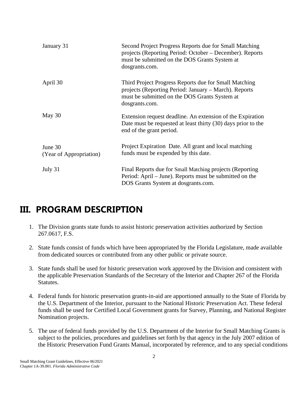| January 31                         | Second Project Progress Reports due for Small Matching<br>projects (Reporting Period: October – December). Reports<br>must be submitted on the DOS Grants System at<br>dosgrants.com. |
|------------------------------------|---------------------------------------------------------------------------------------------------------------------------------------------------------------------------------------|
| April 30                           | Third Project Progress Reports due for Small Matching<br>projects (Reporting Period: January – March). Reports<br>must be submitted on the DOS Grants System at<br>dosgrants.com.     |
| May 30                             | Extension request deadline. An extension of the Expiration<br>Date must be requested at least thirty (30) days prior to the<br>end of the grant period.                               |
| June 30<br>(Year of Appropriation) | Project Expiration Date. All grant and local matching<br>funds must be expended by this date.                                                                                         |
| July 31                            | Final Reports due for Small Matching projects (Reporting<br>Period: April – June). Reports must be submitted on the<br>DOS Grants System at dosgrants.com.                            |

# <span id="page-5-0"></span>**III. PROGRAM DESCRIPTION**

- 1. The Division grants state funds to assist historic preservation activities authorized by Section 267.0617, F.S.
- 2. State funds consist of funds which have been appropriated by the Florida Legislature, made available from dedicated sources or contributed from any other public or private source.
- 3. State funds shall be used for historic preservation work approved by the Division and consistent with the applicable Preservation Standards of the Secretary of the Interior and Chapter 267 of the Florida Statutes.
- 4. Federal funds for historic preservation grants-in-aid are apportioned annually to the State of Florida by the U.S. Department of the Interior, pursuant to the National Historic Preservation Act. These federal funds shall be used for Certified Local Government grants for Survey, Planning, and National Register Nomination projects.
- 5. The use of federal funds provided by the U.S. Department of the Interior for Small Matching Grants is subject to the policies, procedures and guidelines set forth by that agency in the July 2007 edition of the Historic Preservation Fund Grants Manual, incorporated by reference, and to any special conditions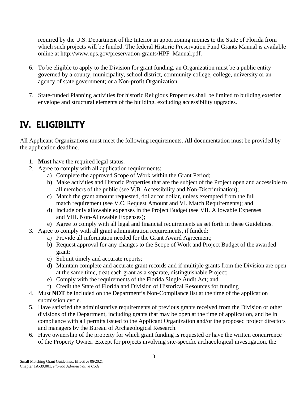required by the U.S. Department of the Interior in apportioning monies to the State of Florida from which such projects will be funded. The federal Historic Preservation Fund Grants Manual is available online at http://www.nps.gov/preservation-grants/HPF\_Manual.pdf.

- 6. To be eligible to apply to the Division for grant funding, an Organization must be a public entity governed by a county, municipality, school district, community college, college, university or an agency of state government; or a Non-profit Organization.
- 7. State-funded Planning activities for historic Religious Properties shall be limited to building exterior envelope and structural elements of the building, excluding accessibility upgrades.

# <span id="page-6-0"></span>**IV. ELIGIBILITY**

All Applicant Organizations must meet the following requirements. **All** documentation must be provided by the application deadline.

- 1. **Must** have the required legal status.
- 2. Agree to comply with all application requirements:
	- a) Complete the approved Scope of Work within the Grant Period;
	- b) Make activities and Historic Properties that are the subject of the Project open and accessible to all members of the public (see V.B. Accessibility and Non-Discrimination);
	- c) Match the grant amount requested, dollar for dollar, unless exempted from the full match requirement (see V.C. Request Amount and VI. Match Requirements); and
	- d) Include only allowable expenses in the Project Budget (see VII. Allowable Expenses and VIII. Non-Allowable Expenses);
	- e) Agree to comply with all legal and financial requirements as set forth in these Guidelines.
- 3. Agree to comply with all grant administration requirements, if funded:
	- a) Provide all information needed for the Grant Award Agreement;
		- b) Request approval for any changes to the Scope of Work and Project Budget of the awarded grant;
		- c) Submit timely and accurate reports;
		- d) Maintain complete and accurate grant records and if multiple grants from the Division are open at the same time, treat each grant as a separate, distinguishable Project;
		- e) Comply with the requirements of the Florida Single Audit Act; and
		- f) Credit the State of Florida and Division of Historical Resources for funding
- 4. Must **NOT** be included on the Department's Non-Compliance list at the time of the application submission cycle.
- 5. Have satisfied the administrative requirements of previous grants received from the Division or other divisions of the Department, including grants that may be open at the time of application, and be in compliance with all permits issued to the Applicant Organization and/or the proposed project directors and managers by the Bureau of Archaeological Research.
- 6. Have ownership of the property for which grant funding is requested or have the written concurrence of the Property Owner. Except for projects involving site-specific archaeological investigation, the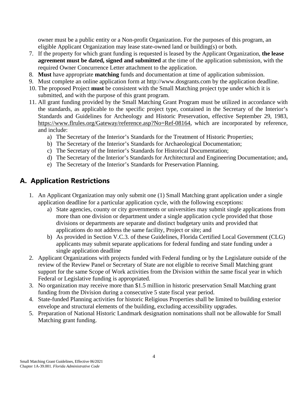owner must be a public entity or a Non-profit Organization. For the purposes of this program, an eligible Applicant Organization may lease state-owned land or building(s) or both.

- 7. If the property for which grant funding is requested is leased by the Applicant Organization, **the lease agreement must be dated, signed and submitted** at the time of the application submission, with the required Owner Concurrence Letter attachment to the application.
- 8. **Must** have appropriate **matching** funds and documentation at time of application submission.
- 9. Must complete an online application form at http://www.dosgrants.com by the application deadline.
- 10. The proposed Project **must** be consistent with the Small Matching project type under which it is submitted, and with the purpose of this grant program.
- 11. All grant funding provided by the Small Matching Grant Program must be utilized in accordance with the standards, as applicable to the specific project type, contained in the Secretary of the Interior's Standards and Guidelines for Archeology and Historic Preservation, effective September 29, 1983, [https://www.flrules.org/Gateway/reference.asp?No=Ref-08164,](https://www.flrules.org/Gateway/reference.asp?No=Ref-08164) which are incorporated by reference, and include:
	- a) The Secretary of the Interior's Standards for the Treatment of Historic Properties;
	- b) The Secretary of the Interior's Standards for Archaeological Documentation;
	- c) The Secretary of the Interior's Standards for Historical Documentation;
	- d) The Secretary of the Interior's Standards for Architectural and Engineering Documentation; and,
	- e) The Secretary of the Interior's Standards for Preservation Planning.

### <span id="page-7-0"></span>**A. Application Restrictions**

- 1. An Applicant Organization may only submit one (1) Small Matching grant application under a single application deadline for a particular application cycle, with the following exceptions:
	- a) State agencies, county or city governments or universities may submit single applications from more than one division or department under a single application cycle provided that those divisions or departments are separate and distinct budgetary units and provided that applications do not address the same facility, Project or site; and
	- b) As provided in Section V.C.3. of these Guidelines, Florida Certified Local Government (CLG) applicants may submit separate applications for federal funding and state funding under a single application deadline
- 2. Applicant Organizations with projects funded with Federal funding or by the Legislature outside of the review of the Review Panel or Secretary of State are not eligible to receive Small Matching grant support for the same Scope of Work activities from the Division within the same fiscal year in which Federal or Legislative funding is appropriated.
- 3. No organization may receive more than \$1.5 million in historic preservation Small Matching grant funding from the Division during a consecutive 5 state fiscal year period.
- 4. State-funded Planning activities for historic Religious Properties shall be limited to building exterior envelope and structural elements of the building, excluding accessibility upgrades.
- 5. Preparation of National Historic Landmark designation nominations shall not be allowable for Small Matching grant funding.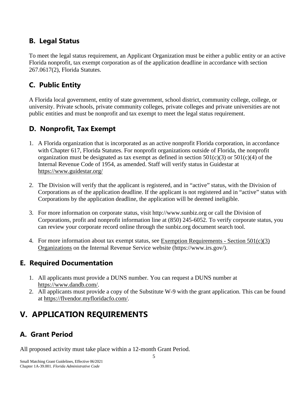### <span id="page-8-0"></span>**B. Legal Status**

To meet the legal status requirement, an Applicant Organization must be either a public entity or an active Florida nonprofit, tax exempt corporation as of the application deadline in accordance with section 267.0617(2), Florida Statutes.

### <span id="page-8-1"></span>**C. Public Entity**

A Florida local government, entity of state government, school district, community college, college, or university. Private schools, private community colleges, private colleges and private universities are not public entities and must be nonprofit and tax exempt to meet the legal status requirement.

### <span id="page-8-2"></span>**D. Nonprofit, Tax Exempt**

- 1. A Florida organization that is incorporated as an active nonprofit Florida corporation, in accordance with Chapter 617, Florida Statutes. For nonprofit organizations outside of Florida, the nonprofit organization must be designated as tax exempt as defined in section  $501(c)(3)$  or  $501(c)(4)$  of the Internal Revenue Code of 1954, as amended. Staff will verify status in Guidestar at https://www.guidestar.org/
- 2. The Division will verify that the applicant is registered, and in "active" status, with the Division of Corporations as of the application deadline. If the applicant is not registered and in "active" status with Corporations by the application deadline, the application will be deemed ineligible.
- 3. For more information on corporate status, visit http://www.sunbiz.org or call the Division of Corporations, profit and nonprofit information line at (850) 245-6052. To verify corporate status, you can review your corporate record online through the sunbiz.org document search tool.
- 4. For more information about tax exempt status, see [Exemption Requirements -](https://www.irs.gov/charities-non-profits/charitable-organizations/exemption-requirements-501c3-organizations) Section  $501(c)(3)$ [Organizations](https://www.irs.gov/charities-non-profits/charitable-organizations/exemption-requirements-501c3-organizations) on the Internal Revenue Service website (https://www.irs.gov/).

### <span id="page-8-3"></span>**E. Required Documentation**

- 1. All applicants must provide a DUNS number. You can request a DUNS number at https://www.dandb.com/.
- 2. All applicants must provide a copy of the Substitute W-9 with the grant application. This can be found at https://flvendor.myfloridacfo.com/.

### <span id="page-8-4"></span>**V. APPLICATION REQUIREMENTS**

### <span id="page-8-5"></span>**A. Grant Period**

All proposed activity must take place within a 12-month Grant Period.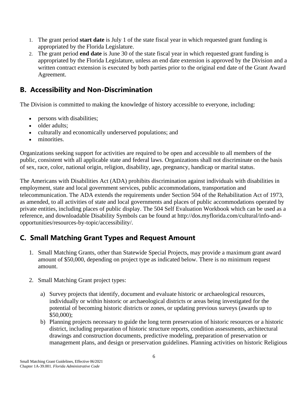- 1. The grant period **start date** is July 1 of the state fiscal year in which requested grant funding is appropriated by the Florida Legislature.
- 2. The grant period **end date** is June 30 of the state fiscal year in which requested grant funding is appropriated by the Florida Legislature, unless an end date extension is approved by the Division and a written contract extension is executed by both parties prior to the original end date of the Grant Award Agreement.

### <span id="page-9-0"></span>**B. Accessibility and Non-Discrimination**

The Division is committed to making the knowledge of history accessible to everyone, including:

- persons with disabilities;
- older adults:
- culturally and economically underserved populations; and
- minorities.

Organizations seeking support for activities are required to be open and accessible to all members of the public, consistent with all applicable state and federal laws. Organizations shall not discriminate on the basis of sex, race, color, national origin, religion, disability, age, pregnancy, handicap or marital status.

The Americans with Disabilities Act (ADA) prohibits discrimination against individuals with disabilities in employment, state and local government services, public accommodations, transportation and telecommunication. The ADA extends the requirements under Section 504 of the Rehabilitation Act of 1973, as amended, to all activities of state and local governments and places of public accommodations operated by private entities, including places of public display. The 504 Self Evaluation Workbook which can be used as a reference, and downloadable Disability Symbols can be found at http://dos.myflorida.com/cultural/info-andopportunities/resources-by-topic/accessibility/.

### <span id="page-9-1"></span>**C. Small Matching Grant Types and Request Amount**

- 1. Small Matching Grants, other than Statewide Special Projects, may provide a maximum grant award amount of \$50,000, depending on project type as indicated below. There is no minimum request amount.
- 2. Small Matching Grant project types:
	- a) Survey projects that identify, document and evaluate historic or archaeological resources, individually or within historic or archaeological districts or areas being investigated for the potential of becoming historic districts or zones, or updating previous surveys (awards up to \$50,000);
	- b) Planning projects necessary to guide the long term preservation of historic resources or a historic district, including preparation of historic structure reports, condition assessments, architectural drawings and construction documents, predictive modeling, preparation of preservation or management plans, and design or preservation guidelines. Planning activities on historic Religious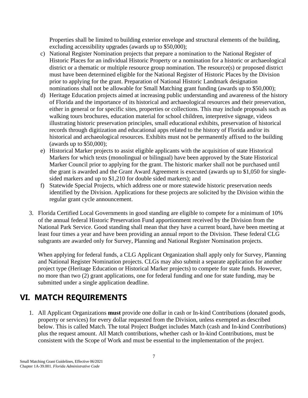Properties shall be limited to building exterior envelope and structural elements of the building, excluding accessibility upgrades (awards up to \$50,000);

- c) National Register Nomination projects that prepare a nomination to the National Register of Historic Places for an individual Historic Property or a nomination for a historic or archaeological district or a thematic or multiple resource group nomination. The resource(s) or proposed district must have been determined eligible for the National Register of Historic Places by the Division prior to applying for the grant. Preparation of National Historic Landmark designation nominations shall not be allowable for Small Matching grant funding (awards up to \$50,000);
- d) Heritage Education projects aimed at increasing public understanding and awareness of the history of Florida and the importance of its historical and archaeological resources and their preservation, either in general or for specific sites, properties or collections. This may include proposals such as walking tours brochures, education material for school children, interpretive signage, videos illustrating historic preservation principles, small educational exhibits, preservation of historical records through digitization and educational apps related to the history of Florida and/or its historical and archaeological resources. Exhibits must not be permanently affixed to the building (awards up to \$50,000);
- e) Historical Marker projects to assist eligible applicants with the acquisition of state Historical Markers for which texts (monolingual or bilingual) have been approved by the State Historical Marker Council prior to applying for the grant. The historic marker shall not be purchased until the grant is awarded and the Grant Award Agreement is executed (awards up to \$1,050 for singlesided markers and up to \$1,210 for double sided markers); and
- f) Statewide Special Projects, which address one or more statewide historic preservation needs identified by the Division. Applications for these projects are solicited by the Division within the regular grant cycle announcement.
- 3. Florida Certified Local Governments in good standing are eligible to compete for a minimum of 10% of the annual federal Historic Preservation Fund apportionment received by the Division from the National Park Service. Good standing shall mean that they have a current board, have been meeting at least four times a year and have been providing an annual report to the Division. These federal CLG subgrants are awarded only for Survey, Planning and National Register Nomination projects.

When applying for federal funds, a CLG Applicant Organization shall apply only for Survey, Planning and National Register Nomination projects. CLGs may also submit a separate application for another project type (Heritage Education or Historical Marker projects) to compete for state funds. However, no more than two (2) grant applications, one for federal funding and one for state funding, may be submitted under a single application deadline.

# <span id="page-10-0"></span>**VI. MATCH REQUIREMENTS**

1. All Applicant Organizations **must** provide one dollar in cash or In-kind Contributions (donated goods, property or services) for every dollar requested from the Division, unless exempted as described below. This is called Match. The total Project Budget includes Match (cash and In-kind Contributions) plus the request amount. All Match contributions, whether cash or In-kind Contributions, must be consistent with the Scope of Work and must be essential to the implementation of the project.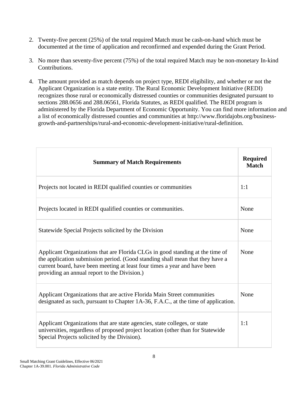- 2. Twenty-five percent (25%) of the total required Match must be cash-on-hand which must be documented at the time of application and reconfirmed and expended during the Grant Period.
- 3. No more than seventy-five percent (75%) of the total required Match may be non-monetary In-kind Contributions.
- 4. The amount provided as match depends on project type, REDI eligibility, and whether or not the Applicant Organization is a state entity. The Rural Economic Development Initiative (REDI) recognizes those rural or economically distressed counties or communities designated pursuant to sections 288.0656 and 288.06561, Florida Statutes, as REDI qualified. The REDI program is administered by the Florida Department of Economic Opportunity. You can find more information and a list of economically distressed counties and communities at http://www.floridajobs.org/businessgrowth-and-partnerships/rural-and-economic-development-initiative/rural-definition.

| <b>Summary of Match Requirements</b>                                                                                                                                                                                                                                                        | <b>Required</b><br><b>Match</b> |
|---------------------------------------------------------------------------------------------------------------------------------------------------------------------------------------------------------------------------------------------------------------------------------------------|---------------------------------|
| Projects not located in REDI qualified counties or communities                                                                                                                                                                                                                              | 1:1                             |
| Projects located in REDI qualified counties or communities.                                                                                                                                                                                                                                 | None                            |
| Statewide Special Projects solicited by the Division                                                                                                                                                                                                                                        | None                            |
| Applicant Organizations that are Florida CLGs in good standing at the time of<br>the application submission period. (Good standing shall mean that they have a<br>current board, have been meeting at least four times a year and have been<br>providing an annual report to the Division.) | None                            |
| Applicant Organizations that are active Florida Main Street communities<br>designated as such, pursuant to Chapter 1A-36, F.A.C., at the time of application.                                                                                                                               | None                            |
| Applicant Organizations that are state agencies, state colleges, or state<br>universities, regardless of proposed project location (other than for Statewide<br>Special Projects solicited by the Division).                                                                                | 1:1                             |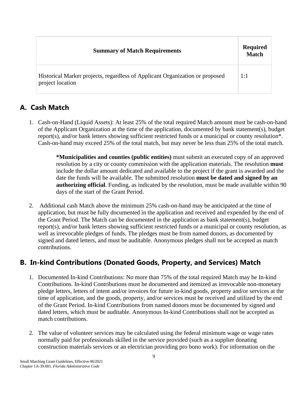| <b>Summary of Match Requirements</b>                                                             | <b>Required</b><br><b>Match</b> |
|--------------------------------------------------------------------------------------------------|---------------------------------|
| Historical Marker projects, regardless of Applicant Organization or proposed<br>project location | 1:1                             |

### <span id="page-12-0"></span>**A. Cash Match**

1. Cash-on-Hand (Liquid Assets): At least 25% of the total required Match amount must be cash-on-hand of the Applicant Organization at the time of the application, documented by bank statement(s), budget report(s), and/or bank letters showing sufficient restricted funds or a municipal or county resolution\*. Cash-on-hand may exceed 25% of the total match, but may never be less than 25% of the total match.

> **\*Municipalities and counties (public entities)** must submit an executed copy of an approved resolution by a city or county commission with the application materials. The resolution **must** include the dollar amount dedicated and available to the project if the grant is awarded and the date the funds will be available. The submitted resolution **must be dated and signed by an authorizing official**. Funding, as indicated by the resolution, must be made available within 90 days of the start of the Grant Period.

2. Additional cash Match above the minimum 25% cash-on-hand may be anticipated at the time of application, but must be fully documented in the application and received and expended by the end of the Grant Period. The Match can be documented in the application as bank statement(s), budget report(s), and/or bank letters showing sufficient restricted funds or a municipal or county resolution, as well as irrevocable pledges of funds. The pledges must be from named donors, as documented by signed and dated letters, and must be auditable. Anonymous pledges shall not be accepted as match contributions.

### <span id="page-12-1"></span>**B. In-kind Contributions (Donated Goods, Property, and Services) Match**

- 1. Documented In-kind Contributions: No more than 75% of the total required Match may be In-kind Contributions. In-kind Contributions must be documented and itemized as irrevocable non-monetary pledge letters, letters of intent and/or invoices for future in-kind goods, property and/or services at the time of application, and the goods, property, and/or services must be received and utilized by the end of the Grant Period. In-kind Contributions from named donors must be documented by signed and dated letters, which must be auditable. Anonymous In-kind Contributions shall not be accepted as match contributions.
- 2. The value of volunteer services may be calculated using the federal minimum wage or wage rates normally paid for professionals skilled in the service provided (such as a supplier donating construction materials services or an electrician providing pro bono work). For information on the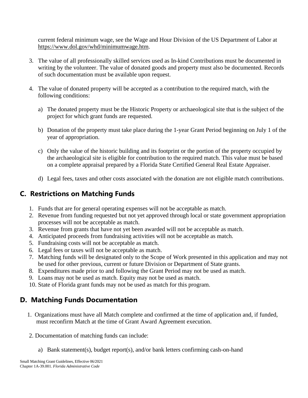current federal minimum wage, see the Wage and Hour Division of the US Department of Labor at https://www.dol.gov/whd/minimumwage.htm.

- 3. The value of all professionally skilled services used as In-kind Contributions must be documented in writing by the volunteer. The value of donated goods and property must also be documented. Records of such documentation must be available upon request.
- 4. The value of donated property will be accepted as a contribution to the required match, with the following conditions:
	- a) The donated property must be the Historic Property or archaeological site that is the subject of the project for which grant funds are requested.
	- b) Donation of the property must take place during the 1-year Grant Period beginning on July 1 of the year of appropriation.
	- c) Only the value of the historic building and its footprint or the portion of the property occupied by the archaeological site is eligible for contribution to the required match. This value must be based on a complete appraisal prepared by a Florida State Certified General Real Estate Appraiser.
	- d) Legal fees, taxes and other costs associated with the donation are not eligible match contributions.

### <span id="page-13-0"></span>**C. Restrictions on Matching Funds**

- 1. Funds that are for general operating expenses will not be acceptable as match.
- 2. Revenue from funding requested but not yet approved through local or state government appropriation processes will not be acceptable as match.
- 3. Revenue from grants that have not yet been awarded will not be acceptable as match.
- 4. Anticipated proceeds from fundraising activities will not be acceptable as match.
- 5. Fundraising costs will not be acceptable as match.
- 6. Legal fees or taxes will not be acceptable as match.
- 7. Matching funds will be designated only to the Scope of Work presented in this application and may not be used for other previous, current or future Division or Department of State grants.
- 8. Expenditures made prior to and following the Grant Period may not be used as match.
- 9. Loans may not be used as match. Equity may not be used as match.
- 10. State of Florida grant funds may not be used as match for this program.

### <span id="page-13-1"></span>**D. Matching Funds Documentation**

- 1. Organizations must have all Match complete and confirmed at the time of application and, if funded, must reconfirm Match at the time of Grant Award Agreement execution.
- 2. Documentation of matching funds can include:
	- a) Bank statement(s), budget report(s), and/or bank letters confirming cash-on-hand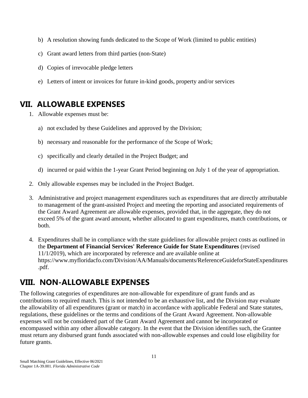- b) A resolution showing funds dedicated to the Scope of Work (limited to public entities)
- c) Grant award letters from third parties (non-State)
- d) Copies of irrevocable pledge letters
- e) Letters of intent or invoices for future in-kind goods, property and/or services

### <span id="page-14-0"></span>**VII. ALLOWABLE EXPENSES**

- 1. Allowable expenses must be:
	- a) not excluded by these Guidelines and approved by the Division;
	- b) necessary and reasonable for the performance of the Scope of Work;
	- c) specifically and clearly detailed in the Project Budget; and
	- d) incurred or paid within the 1-year Grant Period beginning on July 1 of the year of appropriation.
- 2. Only allowable expenses may be included in the Project Budget.
- 3. Administrative and project management expenditures such as expenditures that are directly attributable to management of the grant-assisted Project and meeting the reporting and associated requirements of the Grant Award Agreement are allowable expenses, provided that, in the aggregate, they do not exceed 5% of the grant award amount, whether allocated to grant expenditures, match contributions, or both.
- 4. Expenditures shall be in compliance with the state guidelines for allowable project costs as outlined in the **Department of Financial Services' Reference Guide for State Expenditures** (revised 11/1/2019), which are incorporated by reference and are available online at https://www.myfloridacfo.com/Division/AA/Manuals/documents/ReferenceGuideforStateExpenditures .pdf.

# <span id="page-14-1"></span>**VIII. NON-ALLOWABLE EXPENSES**

The following categories of expenditures are non-allowable for expenditure of grant funds and as contributions to required match. This is not intended to be an exhaustive list, and the Division may evaluate the allowability of all expenditures (grant or match) in accordance with applicable Federal and State statutes, regulations, these guidelines or the terms and conditions of the Grant Award Agreement. Non-allowable expenses will not be considered part of the Grant Award Agreement and cannot be incorporated or encompassed within any other allowable category. In the event that the Division identifies such, the Grantee must return any disbursed grant funds associated with non-allowable expenses and could lose eligibility for future grants.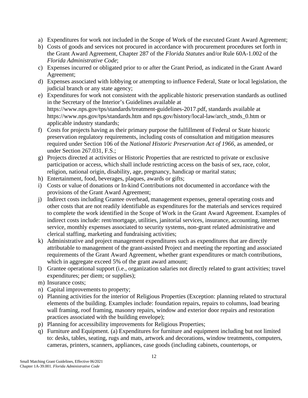- a) Expenditures for work not included in the Scope of Work of the executed Grant Award Agreement;
- b) Costs of goods and services not procured in accordance with procurement procedures set forth in the Grant Award Agreement, Chapter 287 of the *Florida Statutes* and/or Rule 60A-1.002 of the *Florida Administrative Code*;
- c) Expenses incurred or obligated prior to or after the Grant Period, as indicated in the Grant Award Agreement;
- d) Expenses associated with lobbying or attempting to influence Federal, State or local legislation, the judicial branch or any state agency;
- e) Expenditures for work not consistent with the applicable historic preservation standards as outlined in the Secretary of the Interior's Guidelines available at https://www.nps.gov/tps/standards/treatment-guidelines-2017.pdf, standards available at https://www.nps.gov/tps/standards.htm and nps.gov/history/local-law/arch\_stnds\_0.htm or applicable industry standards;
- f) Costs for projects having as their primary purpose the fulfillment of Federal or State historic preservation regulatory requirements, including costs of consultation and mitigation measures required under Section 106 of the *National Historic Preservation Act of 1966*, as amended, or under Section 267.031, F.S.;
- g) Projects directed at activities or Historic Properties that are restricted to private or exclusive participation or access, which shall include restricting access on the basis of sex, race, color, religion, national origin, disability, age, pregnancy, handicap or marital status;
- h) Entertainment, food, beverages, plaques, awards or gifts;
- i) Costs or value of donations or In-kind Contributions not documented in accordance with the provisions of the Grant Award Agreement;
- j) Indirect costs including Grantee overhead, management expenses, general operating costs and other costs that are not readily identifiable as expenditures for the materials and services required to complete the work identified in the Scope of Work in the Grant Award Agreement. Examples of indirect costs include: rent/mortgage, utilities, janitorial services, insurance, accounting, internet service, monthly expenses associated to security systems, non-grant related administrative and clerical staffing, marketing and fundraising activities;
- k) Administrative and project management expenditures such as expenditures that are directly attributable to management of the grant-assisted Project and meeting the reporting and associated requirements of the Grant Award Agreement, whether grant expenditures or match contributions, which in aggregate exceed 5% of the grant award amount;
- l) Grantee operational support (i.e., organization salaries not directly related to grant activities; travel expenditures; per diem; or supplies);
- m) Insurance costs;
- n) Capital improvements to property;
- o) Planning activities for the interior of Religious Properties (Exception: planning related to structural elements of the building. Examples include: foundation repairs, repairs to columns, load bearing wall framing, roof framing, masonry repairs, window and exterior door repairs and restoration practices associated with the building envelope);
- p) Planning for accessibility improvements for Religious Properties;
- q) Furniture and Equipment. (a) Expenditures for furniture and equipment including but not limited to: desks, tables, seating, rugs and mats, artwork and decorations, window treatments, computers, cameras, printers, scanners, appliances, case goods (including cabinets, countertops, or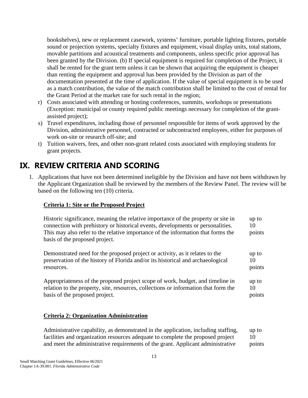bookshelves), new or replacement casework, systems' furniture, portable lighting fixtures, portable sound or projection systems, specialty fixtures and equipment, visual display units, total stations, movable partitions and acoustical treatments and components, unless specific prior approval has been granted by the Division. (b) If special equipment is required for completion of the Project, it shall be rented for the grant term unless it can be shown that acquiring the equipment is cheaper than renting the equipment and approval has been provided by the Division as part of the documentation presented at the time of application. If the value of special equipment is to be used as a match contribution, the value of the match contribution shall be limited to the cost of rental for the Grant Period at the market rate for such rental in the region;

- r) Costs associated with attending or hosting conferences, summits, workshops or presentations (Exception: municipal or county required public meetings necessary for completion of the grantassisted project);
- s) Travel expenditures, including those of personnel responsible for items of work approved by the Division, administrative personnel, contracted or subcontracted employees, either for purposes of work on-site or research off-site; and
- t) Tuition waivers, fees, and other non-grant related costs associated with employing students for grant projects.

### <span id="page-16-0"></span>**IX. REVIEW CRITERIA AND SCORING**

1. Applications that have not been determined ineligible by the Division and have not been withdrawn by the Applicant Organization shall be reviewed by the members of the Review Panel. The review will be based on the following ten (10) criteria.

#### **Criteria 1: Site or the Proposed Project**

| Historic significance, meaning the relative importance of the property or site in<br>connection with prehistory or historical events, developments or personalities.<br>This may also refer to the relative importance of the information that forms the<br>basis of the proposed project. | up to<br>10<br>points |
|--------------------------------------------------------------------------------------------------------------------------------------------------------------------------------------------------------------------------------------------------------------------------------------------|-----------------------|
| Demonstrated need for the proposed project or activity, as it relates to the                                                                                                                                                                                                               | up to                 |
| preservation of the history of Florida and/or its historical and archaeological                                                                                                                                                                                                            | 10                    |
| resources.                                                                                                                                                                                                                                                                                 | points                |
| Appropriateness of the proposed project scope of work, budget, and timeline in                                                                                                                                                                                                             | up to                 |
| relation to the property, site, resources, collections or information that form the                                                                                                                                                                                                        | 10                    |
| basis of the proposed project.                                                                                                                                                                                                                                                             | points                |

#### **Criteria 2: Organization Administration**

Administrative capability, as demonstrated in the application, including staffing, facilities and organization resources adequate to complete the proposed project and meet the administrative requirements of the grant. Applicant administrative up to 10 points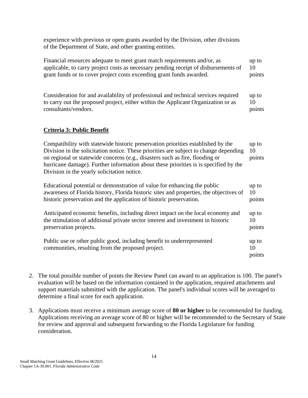experience with previous or open grants awarded by the Division, other divisions of the Department of State, and other granting entities.

| Financial resources adequate to meet grant match requirements and/or, as                                                                                                                                                                                                                                                                                                                         | up to                 |
|--------------------------------------------------------------------------------------------------------------------------------------------------------------------------------------------------------------------------------------------------------------------------------------------------------------------------------------------------------------------------------------------------|-----------------------|
| applicable, to carry project costs as necessary pending receipt of disbursements of                                                                                                                                                                                                                                                                                                              | 10                    |
| grant funds or to cover project costs exceeding grant funds awarded.                                                                                                                                                                                                                                                                                                                             | points                |
| Consideration for and availability of professional and technical services required                                                                                                                                                                                                                                                                                                               | up to                 |
| to carry out the proposed project, either within the Applicant Organization or as                                                                                                                                                                                                                                                                                                                | 10                    |
| consultants/vendors.                                                                                                                                                                                                                                                                                                                                                                             | points                |
| <b>Criteria 3: Public Benefit</b>                                                                                                                                                                                                                                                                                                                                                                |                       |
| Compatibility with statewide historic preservation priorities established by the<br>Division in the solicitation notice. These priorities are subject to change depending<br>on regional or statewide concerns (e.g., disasters such as fire, flooding or<br>hurricane damage). Further information about these priorities is is specified by the<br>Division in the yearly solicitation notice. | up to<br>10<br>points |
| Educational potential or demonstration of value for enhancing the public                                                                                                                                                                                                                                                                                                                         | up to                 |
| awareness of Florida history, Florida historic sites and properties, the objectives of                                                                                                                                                                                                                                                                                                           | 10                    |
| historic preservation and the application of historic preservation.                                                                                                                                                                                                                                                                                                                              | points                |
| Anticipated economic benefits, including direct impact on the local economy and                                                                                                                                                                                                                                                                                                                  | up to                 |
| the stimulation of additional private sector interest and investment in historic                                                                                                                                                                                                                                                                                                                 | 10                    |
| preservation projects.                                                                                                                                                                                                                                                                                                                                                                           | points                |
| Public use or other public good, including benefit to underrepresented<br>communities, resulting from the proposed project.                                                                                                                                                                                                                                                                      | up to<br>10<br>points |

- 2. The total possible number of points the Review Panel can award to an application is 100. The panel's evaluation will be based on the information contained in the application, required attachments and support materials submitted with the application. The panel's individual scores will be averaged to determine a final score for each application.
- 3. Applications must receive a minimum average score of **80 or higher** to be *recommended* for funding. Applications receiving an average score of 80 or higher will be recommended to the Secretary of State for review and approval and subsequent forwarding to the Florida Legislature for funding consideration.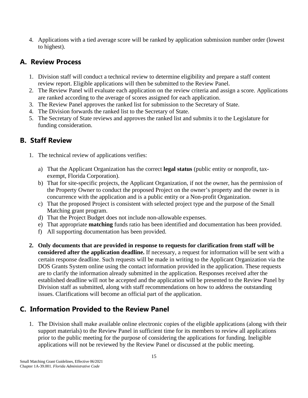4. Applications with a tied average score will be ranked by application submission number order (lowest to highest).

#### <span id="page-18-0"></span>**A. Review Process**

- 1. Division staff will conduct a technical review to determine eligibility and prepare a staff content review report. Eligible applications will then be submitted to the Review Panel.
- 2. The Review Panel will evaluate each application on the review criteria and assign a score. Applications are ranked according to the average of scores assigned for each application.
- 3. The Review Panel approves the ranked list for submission to the Secretary of State.
- 4. The Division forwards the ranked list to the Secretary of State.
- 5. The Secretary of State reviews and approves the ranked list and submits it to the Legislature for funding consideration.

### <span id="page-18-1"></span>**B. Staff Review**

- 1. The technical review of applications verifies:
	- a) That the Applicant Organization has the correct **legal status** (public entity or nonprofit, taxexempt, Florida Corporation).
	- b) That for site-specific projects, the Applicant Organization, if not the owner, has the permission of the Property Owner to conduct the proposed Project on the owner's property and the owner is in concurrence with the application and is a public entity or a Non-profit Organization.
	- c) That the proposed Project is consistent with selected project type and the purpose of the Small Matching grant program.
	- d) That the Project Budget does not include non-allowable expenses.
	- e) That appropriate **matching** funds ratio has been identified and documentation has been provided.
	- f) All supporting documentation has been provided.
- **2. Only documents that are provided in response to requests for clarification from staff will be considered after the application deadline.** If necessary, a request for information will be sent with a certain response deadline. Such requests will be made in writing to the Applicant Organization via the DOS Grants System online using the contact information provided in the application. These requests are to clarify the information already submitted in the application. Responses received after the established deadline will not be accepted and the application will be presented to the Review Panel by Division staff as submitted, along with staff recommendations on how to address the outstanding issues. Clarifications will become an official part of the application.

### <span id="page-18-2"></span>**C. Information Provided to the Review Panel**

1. The Division shall make available online electronic copies of the eligible applications (along with their support materials) to the Review Panel in sufficient time for its members to review all applications prior to the public meeting for the purpose of considering the applications for funding. Ineligible applications will not be reviewed by the Review Panel or discussed at the public meeting.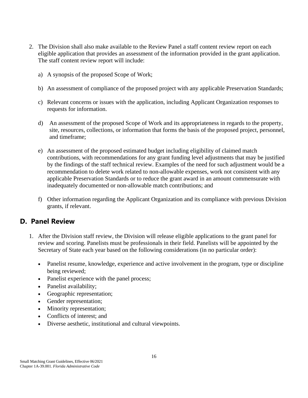- 2. The Division shall also make available to the Review Panel a staff content review report on each eligible application that provides an assessment of the information provided in the grant application. The staff content review report will include:
	- a) A synopsis of the proposed Scope of Work;
	- b) An assessment of compliance of the proposed project with any applicable Preservation Standards;
	- c) Relevant concerns or issues with the application, including Applicant Organization responses to requests for information.
	- d) An assessment of the proposed Scope of Work and its appropriateness in regards to the property, site, resources, collections, or information that forms the basis of the proposed project, personnel, and timeframe;
	- e) An assessment of the proposed estimated budget including eligibility of claimed match contributions, with recommendations for any grant funding level adjustments that may be justified by the findings of the staff technical review. Examples of the need for such adjustment would be a recommendation to delete work related to non-allowable expenses, work not consistent with any applicable Preservation Standards or to reduce the grant award in an amount commensurate with inadequately documented or non-allowable match contributions; and
	- f) Other information regarding the Applicant Organization and its compliance with previous Division grants, if relevant.

#### <span id="page-19-0"></span>**D. Panel Review**

- 1. After the Division staff review, the Division will release eligible applications to the grant panel for review and scoring. Panelists must be professionals in their field. Panelists will be appointed by the Secretary of State each year based on the following considerations (in no particular order):
	- Panelist resume, knowledge, experience and active involvement in the program, type or discipline being reviewed;
	- Panelist experience with the panel process;
	- Panelist availability;
	- Geographic representation;
	- Gender representation;
	- Minority representation;
	- Conflicts of interest: and
	- Diverse aesthetic, institutional and cultural viewpoints.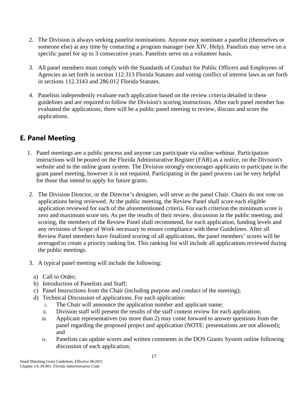- 2. The Division is always seeking panelist nominations. Anyone may nominate a panelist (themselves or someone else) at any time by contacting a program manager (see XIV. Help). Panelists may serve on a specific panel for up to 3 consecutive years. Panelists serve on a volunteer basis.
- 3. All panel members must comply with the Standards of Conduct for Public Officers and Employees of Agencies as set forth in section 112.313 Florida Statutes and voting conflict of interest laws as set forth in sections 112.3143 and 286.012 Florida Statutes.
- 4. Panelists independently evaluate each application based on the review criteria detailed in these guidelines and are required to follow the Division's scoring instructions. After each panel member has evaluated the applications, there will be a public panel meeting to review, discuss and score the applications.

### <span id="page-20-0"></span>**E. Panel Meeting**

- 1. Panel meetings are a public process and anyone can participate via online webinar. Participation instructions will be posted on the Florida Administrative Register (FAR) as a notice, on the Division's website and in the online grant system. The Division strongly encourages applicants to participate in the grant panel meeting, however it is not required. Participating in the panel process can be very helpful for those that intend to apply for future grants.
- 2. The Division Director, or the Director's designee, will serve as the panel Chair. Chairs do not vote on applications being reviewed. At the public meeting, the Review Panel shall score each eligible application reviewed for each of the aforementioned criteria. For each criterion the minimum score is zero and maximum score ten. As per the results of their review, discussion in the public meeting, and scoring, the members of the Review Panel shall recommend, for each application, funding levels and any revisions of Scope of Work necessary to ensure compliance with these Guidelines. After all Review Panel members have finalized scoring of all applications, the panel members' scores will be averaged to create a priority ranking list. This ranking list will include all applications reviewed during the public meetings.
- 3. A typical panel meeting will include the following:
	- a) Call to Order;
	- b) Introduction of Panelists and Staff;
	- c) Panel Instructions from the Chair (including purpose and conduct of the meeting);
	- d) Technical Discussion of applications. For each application:
		- i. The Chair will announce the application number and applicant name;
		- ii. Division staff will present the results of the staff content review for each application;
		- iii. Applicant representatives (no more than 2) may come forward to answer questions from the panel regarding the proposed project and application (NOTE: presentations are not allowed); and
		- iv. Panelists can update scores and written comments in the DOS Grants System online following discussion of each application;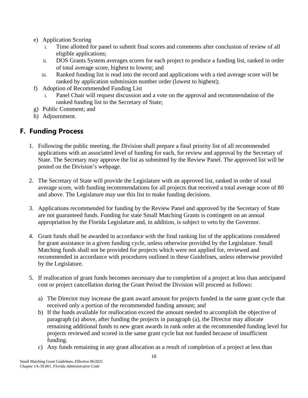- e) Application Scoring
	- i. Time allotted for panel to submit final scores and comments after conclusion of review of all eligible applications;
	- ii. DOS Grants System averages scores for each project to produce a funding list, ranked in order of total average score, highest to lowest; and
	- iii. Ranked funding list is read into the record and applications with a tied average score will be ranked by application submission number order (lowest to highest);
- f) Adoption of Recommended Funding List
	- Panel Chair will request discussion and a vote on the approval and recommendation of the ranked funding list to the Secretary of State;
- g) Public Comment; and
- h) Adjournment.

#### <span id="page-21-0"></span>**F. Funding Process**

- 1. Following the public meeting, the Division shall prepare a final priority list of all recommended applications with an associated level of funding for each, for review and approval by the Secretary of State. The Secretary may approve the list as submitted by the Review Panel. The approved list will be posted on the Division's webpage.
- 2. The Secretary of State will provide the Legislature with an approved list, ranked in order of total average score, with funding recommendations for all projects that received a total average score of 80 and above. The Legislature may use this list to make funding decisions.
- 3. Applications recommended for funding by the Review Panel and approved by the Secretary of State are not guaranteed funds. Funding for state Small Matching Grants is contingent on an annual appropriation by the Florida Legislature and, in addition, is subject to veto by the Governor.
- 4. Grant funds shall be awarded in accordance with the final ranking list of the applications considered for grant assistance in a given funding cycle, unless otherwise provided by the Legislature. Small Matching funds shall not be provided for projects which were not applied for, reviewed and recommended in accordance with procedures outlined in these Guidelines, unless otherwise provided by the Legislature.
- 5. If reallocation of grant funds becomes necessary due to completion of a project at less than anticipated cost or project cancellation during the Grant Period the Division will proceed as follows:
	- a) The Director may increase the grant award amount for projects funded in the same grant cycle that received only a portion of the recommended funding amount; and
	- b) If the funds available for reallocation exceed the amount needed to accomplish the objective of paragraph (a) above, after funding the projects in paragraph (a), the Director may allocate remaining additional funds to new grant awards in rank order at the recommended funding level for projects reviewed and scored in the same grant cycle but not funded because of insufficient funding.
	- c) Any funds remaining in any grant allocation as a result of completion of a project at less than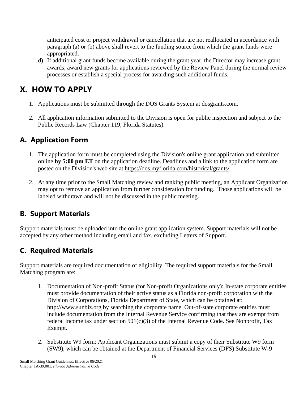anticipated cost or project withdrawal or cancellation that are not reallocated in accordance with paragraph (a) or (b) above shall revert to the funding source from which the grant funds were appropriated.

d) If additional grant funds become available during the grant year, the Director may increase grant awards, award new grants for applications reviewed by the Review Panel during the normal review processes or establish a special process for awarding such additional funds.

### <span id="page-22-0"></span>**X. HOW TO APPLY**

- 1. Applications must be submitted through the DOS Grants System at dosgrants.com.
- 2. All application information submitted to the Division is open for public inspection and subject to the Public Records Law (Chapter 119, Florida Statutes).

### <span id="page-22-1"></span>**A. Application Form**

- 1. The application form must be completed using the Division's online grant application and submitted online **by 5:00 pm ET** on the application deadline. Deadlines and a link to the application form are posted on the Division's web site at https://dos.myflorida.com/historical/grants/.
- 2. At any time prior to the Small Matching review and ranking public meeting, an Applicant Organization may opt to remove an application from further consideration for funding. Those applications will be labeled withdrawn and will not be discussed in the public meeting.

### <span id="page-22-2"></span>**B. Support Materials**

Support materials must be uploaded into the online grant application system. Support materials will not be accepted by any other method including email and fax, excluding Letters of Support.

### <span id="page-22-3"></span>**C. Required Materials**

Support materials are required documentation of eligibility. The required support materials for the Small Matching program are:

- 1. Documentation of Non-profit Status (for Non-profit Organizations only): In-state corporate entities must provide documentation of their active status as a Florida non-profit corporation with the Division of Corporations, Florida Department of State, which can be obtained at: http://www.sunbiz.org by searching the corporate name. Out-of-state corporate entities must include documentation from the Internal Revenue Service confirming that they are exempt from federal income tax under section  $501(c)(3)$  of the Internal Revenue Code. See Nonprofit, Tax Exempt.
- 2. Substitute W9 form: Applicant Organizations must submit a copy of their Substitute W9 form (SW9), which can be obtained at the Department of Financial Services (DFS) Substitute W-9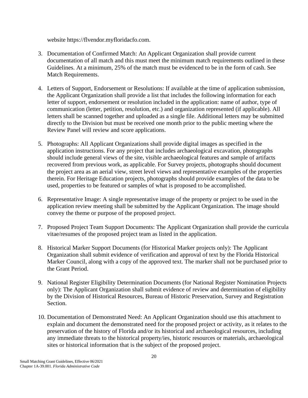website https://flvendor.myfloridacfo.com.

- 3. Documentation of Confirmed Match: An Applicant Organization shall provide current documentation of all match and this must meet the minimum match requirements outlined in these Guidelines. At a minimum, 25% of the match must be evidenced to be in the form of cash. See Match Requirements.
- 4. Letters of Support, Endorsement or Resolutions: If available at the time of application submission, the Applicant Organization shall provide a list that includes the following information for each letter of support, endorsement or resolution included in the application: name of author, type of communication (letter, petition, resolution, etc.) and organization represented (if applicable). All letters shall be scanned together and uploaded as a single file. Additional letters may be submitted directly to the Division but must be received one month prior to the public meeting where the Review Panel will review and score applications.
- 5. Photographs: All Applicant Organizations shall provide digital images as specified in the application instructions. For any project that includes archaeological excavation, photographs should include general views of the site, visible archaeological features and sample of artifacts recovered from previous work, as applicable. For Survey projects, photographs should document the project area as an aerial view, street level views and representative examples of the properties therein. For Heritage Education projects, photographs should provide examples of the data to be used, properties to be featured or samples of what is proposed to be accomplished.
- 6. Representative Image: A single representative image of the property or project to be used in the application review meeting shall be submitted by the Applicant Organization. The image should convey the theme or purpose of the proposed project.
- 7. Proposed Project Team Support Documents: The Applicant Organization shall provide the curricula vitae/resumes of the proposed project team as listed in the application.
- 8. Historical Marker Support Documents (for Historical Marker projects only): The Applicant Organization shall submit evidence of verification and approval of text by the Florida Historical Marker Council, along with a copy of the approved text. The marker shall not be purchased prior to the Grant Period.
- 9. National Register Eligibility Determination Documents (for National Register Nomination Projects only): The Applicant Organization shall submit evidence of review and determination of eligibility by the Division of Historical Resources, Bureau of Historic Preservation, Survey and Registration Section.
- 10. Documentation of Demonstrated Need: An Applicant Organization should use this attachment to explain and document the demonstrated need for the proposed project or activity, as it relates to the preservation of the history of Florida and/or its historical and archaeological resources, including any immediate threats to the historical property/ies, historic resources or materials, archaeological sites or historical information that is the subject of the proposed project.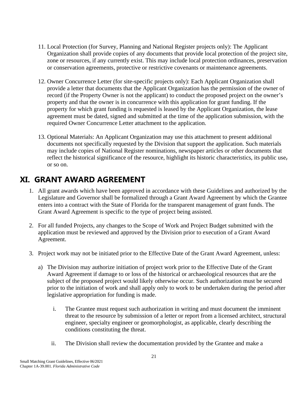- 11. Local Protection (for Survey, Planning and National Register projects only): The Applicant Organization shall provide copies of any documents that provide local protection of the project site, zone or resources, if any currently exist. This may include local protection ordinances, preservation or conservation agreements, protective or restrictive covenants or maintenance agreements.
- 12. Owner Concurrence Letter (for site-specific projects only): Each Applicant Organization shall provide a letter that documents that the Applicant Organization has the permission of the owner of record (if the Property Owner is not the applicant) to conduct the proposed project on the owner's property and that the owner is in concurrence with this application for grant funding. If the property for which grant funding is requested is leased by the Applicant Organization, the lease agreement must be dated, signed and submitted at the time of the application submission, with the required Owner Concurrence Letter attachment to the application.
- 13. Optional Materials: An Applicant Organization may use this attachment to present additional documents not specifically requested by the Division that support the application. Such materials may include copies of National Register nominations, newspaper articles or other documents that reflect the historical significance of the resource, highlight its historic characteristics, its public use, or so on.

### <span id="page-24-0"></span>**XI. GRANT AWARD AGREEMENT**

- 1. All grant awards which have been approved in accordance with these Guidelines and authorized by the Legislature and Governor shall be formalized through a Grant Award Agreement by which the Grantee enters into a contract with the State of Florida for the transparent management of grant funds. The Grant Award Agreement is specific to the type of project being assisted.
- 2. For all funded Projects, any changes to the Scope of Work and Project Budget submitted with the application must be reviewed and approved by the Division prior to execution of a Grant Award Agreement.
- 3. Project work may not be initiated prior to the Effective Date of the Grant Award Agreement, unless:
	- a) The Division may authorize initiation of project work prior to the Effective Date of the Grant Award Agreement if damage to or loss of the historical or archaeological resources that are the subject of the proposed project would likely otherwise occur. Such authorization must be secured prior to the initiation of work and shall apply only to work to be undertaken during the period after legislative appropriation for funding is made.
		- i. The Grantee must request such authorization in writing and must document the imminent threat to the resource by submission of a letter or report from a licensed architect, structural engineer, specialty engineer or geomorphologist, as applicable, clearly describing the conditions constituting the threat.
		- ii. The Division shall review the documentation provided by the Grantee and make a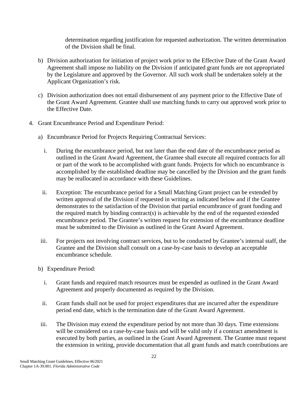determination regarding justification for requested authorization. The written determination of the Division shall be final.

- b) Division authorization for initiation of project work prior to the Effective Date of the Grant Award Agreement shall impose no liability on the Division if anticipated grant funds are not appropriated by the Legislature and approved by the Governor. All such work shall be undertaken solely at the Applicant Organization's risk.
- c) Division authorization does not entail disbursement of any payment prior to the Effective Date of the Grant Award Agreement. Grantee shall use matching funds to carry out approved work prior to the Effective Date.
- 4. Grant Encumbrance Period and Expenditure Period:
	- a) Encumbrance Period for Projects Requiring Contractual Services:
		- i. During the encumbrance period, but not later than the end date of the encumbrance period as outlined in the Grant Award Agreement, the Grantee shall execute all required contracts for all or part of the work to be accomplished with grant funds. Projects for which no encumbrance is accomplished by the established deadline may be cancelled by the Division and the grant funds may be reallocated in accordance with these Guidelines.
		- ii. Exception: The encumbrance period for a Small Matching Grant project can be extended by written approval of the Division if requested in writing as indicated below and if the Grantee demonstrates to the satisfaction of the Division that partial encumbrance of grant funding and the required match by binding contract(s) is achievable by the end of the requested extended encumbrance period. The Grantee's written request for extension of the encumbrance deadline must be submitted to the Division as outlined in the Grant Award Agreement.
	- iii. For projects not involving contract services, but to be conducted by Grantee's internal staff, the Grantee and the Division shall consult on a case-by-case basis to develop an acceptable encumbrance schedule.
	- b) Expenditure Period:
		- i. Grant funds and required match resources must be expended as outlined in the Grant Award Agreement and properly documented as required by the Division.
		- ii. Grant funds shall not be used for project expenditures that are incurred after the expenditure period end date, which is the termination date of the Grant Award Agreement.
	- iii. The Division may extend the expenditure period by not more than 30 days. Time extensions will be considered on a case-by-case basis and will be valid only if a contract amendment is executed by both parties, as outlined in the Grant Award Agreement. The Grantee must request the extension in writing, provide documentation that all grant funds and match contributions are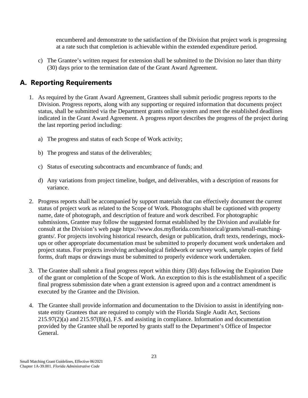encumbered and demonstrate to the satisfaction of the Division that project work is progressing at a rate such that completion is achievable within the extended expenditure period.

c) The Grantee's written request for extension shall be submitted to the Division no later than thirty (30) days prior to the termination date of the Grant Award Agreement.

#### <span id="page-26-0"></span>**A. Reporting Requirements**

- 1. As required by the Grant Award Agreement, Grantees shall submit periodic progress reports to the Division. Progress reports, along with any supporting or required information that documents project status, shall be submitted via the Department grants online system and meet the established deadlines indicated in the Grant Award Agreement. A progress report describes the progress of the project during the last reporting period including:
	- a) The progress and status of each Scope of Work activity;
	- b) The progress and status of the deliverables;
	- c) Status of executing subcontracts and encumbrance of funds; and
	- d) Any variations from project timeline, budget, and deliverables, with a description of reasons for variance.
- 2. Progress reports shall be accompanied by support materials that can effectively document the current status of project work as related to the Scope of Work. Photographs shall be captioned with property name, date of photograph, and description of feature and work described. For photographic submissions, Grantee may follow the suggested format established by the Division and available for consult at the Division's web page https://www.dos.myflorida.com/historical/grants/small-matchinggrants/. For projects involving historical research, design or publication, draft texts, renderings, mockups or other appropriate documentation must be submitted to properly document work undertaken and project status. For projects involving archaeological fieldwork or survey work, sample copies of field forms, draft maps or drawings must be submitted to properly evidence work undertaken.
- 3. The Grantee shall submit a final progress report within thirty (30) days following the Expiration Date of the grant or completion of the Scope of Work. An exception to this is the establishment of a specific final progress submission date when a grant extension is agreed upon and a contract amendment is executed by the Grantee and the Division.
- 4. The Grantee shall provide information and documentation to the Division to assist in identifying nonstate entity Grantees that are required to comply with the Florida Single Audit Act, Sections  $215.97(2)(a)$  and  $215.97(8)(a)$ , F.S. and assisting in compliance. Information and documentation provided by the Grantee shall be reported by grants staff to the Department's Office of Inspector General.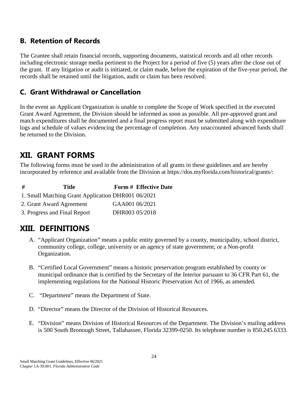### <span id="page-27-0"></span>**B. Retention of Records**

The Grantee shall retain financial records, supporting documents, statistical records and all other records including electronic storage media pertinent to the Project for a period of five (5) years after the close out of the grant. If any litigation or audit is initiated, or claim made, before the expiration of the five-year period, the records shall be retained until the litigation, audit or claim has been resolved.

### <span id="page-27-1"></span>**C. Grant Withdrawal or Cancellation**

In the event an Applicant Organization is unable to complete the Scope of Work specified in the executed Grant Award Agreement, the Division should be informed as soon as possible. All pre-approved grant and match expenditures shall be documented and a final progress report must be submitted along with expenditure logs and schedule of values evidencing the percentage of completion. Any unaccounted advanced funds shall be returned to the Division.

### <span id="page-27-2"></span>**XII. GRANT FORMS**

The following forms must be used in the administration of all grants in these guidelines and are hereby incorporated by reference and available from the Division at https://dos.myflorida.com/historical/grants/:

| # | Title                                              |                | Form # Effective Date |
|---|----------------------------------------------------|----------------|-----------------------|
|   | 1. Small Matching Grant Application DHR001 06/2021 |                |                       |
|   | 2. Grant Award Agreement                           | GAA001 06/2021 |                       |
|   | 3. Progress and Final Report                       | DHR003 05/2018 |                       |

### <span id="page-27-3"></span>**XIII. DEFINITIONS**

- A. "Applicant Organization" means a public entity governed by a county, municipality, school district, community college, college, university or an agency of state government; or a Non-profit Organization.
- B. "Certified Local Government" means a historic preservation program established by county or municipal ordinance that is certified by the Secretary of the Interior pursuant to 36 CFR Part 61, the implementing regulations for the National Historic Preservation Act of 1966, as amended.
- C. "Department" means the Department of State.
- D. "Director" means the Director of the Division of Historical Resources.
- E. "Division" means Division of Historical Resources of the Department. The Division's mailing address is 500 South Bronough Street, Tallahassee, Florida 32399-0250. Its telephone number is 850.245.6333.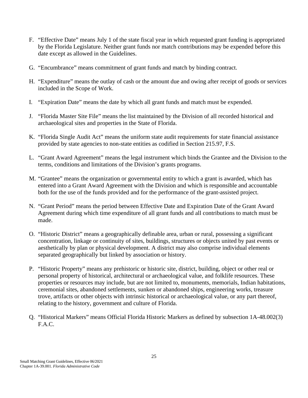- F. "Effective Date" means July 1 of the state fiscal year in which requested grant funding is appropriated by the Florida Legislature. Neither grant funds nor match contributions may be expended before this date except as allowed in the Guidelines.
- G. "Encumbrance" means commitment of grant funds and match by binding contract.
- H. "Expenditure" means the outlay of cash or the amount due and owing after receipt of goods or services included in the Scope of Work.
- I. "Expiration Date" means the date by which all grant funds and match must be expended.
- J. "Florida Master Site File" means the list maintained by the Division of all recorded historical and archaeological sites and properties in the State of Florida.
- K. "Florida Single Audit Act" means the uniform state audit requirements for state financial assistance provided by state agencies to non-state entities as codified in Section 215.97, F.S.
- L. "Grant Award Agreement" means the legal instrument which binds the Grantee and the Division to the terms, conditions and limitations of the Division's grants programs.
- M. "Grantee" means the organization or governmental entity to which a grant is awarded, which has entered into a Grant Award Agreement with the Division and which is responsible and accountable both for the use of the funds provided and for the performance of the grant-assisted project.
- N. "Grant Period" means the period between Effective Date and Expiration Date of the Grant Award Agreement during which time expenditure of all grant funds and all contributions to match must be made.
- O. "Historic District" means a geographically definable area, urban or rural, possessing a significant concentration, linkage or continuity of sites, buildings, structures or objects united by past events or aesthetically by plan or physical development. A district may also comprise individual elements separated geographically but linked by association or history.
- P. "Historic Property" means any prehistoric or historic site, district, building, object or other real or personal property of historical, architectural or archaeological value, and folklife resources. These properties or resources may include, but are not limited to, monuments, memorials, Indian habitations, ceremonial sites, abandoned settlements, sunken or abandoned ships, engineering works, treasure trove, artifacts or other objects with intrinsic historical or archaeological value, or any part thereof, relating to the history, government and culture of Florida.
- Q. "Historical Markers" means Official Florida Historic Markers as defined by subsection 1A-48.002(3) F.A.C.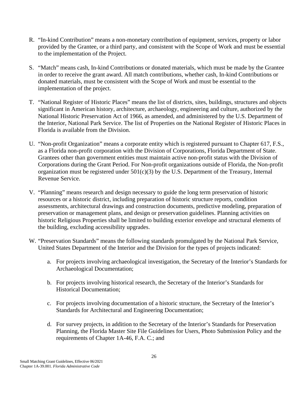- R. "In-kind Contribution" means a non-monetary contribution of equipment, services, property or labor provided by the Grantee, or a third party, and consistent with the Scope of Work and must be essential to the implementation of the Project.
- S. "Match" means cash, In-kind Contributions or donated materials, which must be made by the Grantee in order to receive the grant award. All match contributions, whether cash, In-kind Contributions or donated materials, must be consistent with the Scope of Work and must be essential to the implementation of the project.
- T. "National Register of Historic Places" means the list of districts, sites, buildings, structures and objects significant in American history, architecture, archaeology, engineering and culture, authorized by the National Historic Preservation Act of 1966, as amended, and administered by the U.S. Department of the Interior, National Park Service. The list of Properties on the National Register of Historic Places in Florida is available from the Division.
- U. "Non-profit Organization" means a corporate entity which is registered pursuant to Chapter 617, F.S., as a Florida non-profit corporation with the Division of Corporations, Florida Department of State. Grantees other than government entities must maintain active non-profit status with the Division of Corporations during the Grant Period. For Non-profit organizations outside of Florida, the Non-profit organization must be registered under  $501(c)(3)$  by the U.S. Department of the Treasury, Internal Revenue Service.
- V. "Planning" means research and design necessary to guide the long term preservation of historic resources or a historic district, including preparation of historic structure reports, condition assessments, architectural drawings and construction documents, predictive modeling, preparation of preservation or management plans, and design or preservation guidelines. Planning activities on historic Religious Properties shall be limited to building exterior envelope and structural elements of the building, excluding accessibility upgrades.
- W. "Preservation Standards" means the following standards promulgated by the National Park Service, United States Department of the Interior and the Division for the types of projects indicated:
	- a. For projects involving archaeological investigation, the Secretary of the Interior's Standards for Archaeological Documentation;
	- b. For projects involving historical research, the Secretary of the Interior's Standards for Historical Documentation;
	- c. For projects involving documentation of a historic structure, the Secretary of the Interior's Standards for Architectural and Engineering Documentation;
	- d. For survey projects, in addition to the Secretary of the Interior's Standards for Preservation Planning, the Florida Master Site File Guidelines for Users, Photo Submission Policy and the requirements of Chapter 1A-46, F.A. C.; and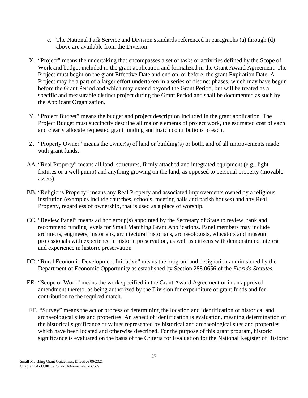- e. The National Park Service and Division standards referenced in paragraphs (a) through (d) above are available from the Division.
- X. "Project" means the undertaking that encompasses a set of tasks or activities defined by the Scope of Work and budget included in the grant application and formalized in the Grant Award Agreement. The Project must begin on the grant Effective Date and end on, or before, the grant Expiration Date. A Project may be a part of a larger effort undertaken in a series of distinct phases, which may have begun before the Grant Period and which may extend beyond the Grant Period, but will be treated as a specific and measurable distinct project during the Grant Period and shall be documented as such by the Applicant Organization.
- Y. "Project Budget" means the budget and project description included in the grant application. The Project Budget must succinctly describe all major elements of project work, the estimated cost of each and clearly allocate requested grant funding and match contributions to each.
- Z. "Property Owner" means the owner(s) of land or building(s) or both, and of all improvements made with grant funds.
- AA. "Real Property" means all land, structures, firmly attached and integrated equipment (e.g., light fixtures or a well pump) and anything growing on the land, as opposed to personal property (movable assets).
- BB. "Religious Property" means any Real Property and associated improvements owned by a religious institution (examples include churches, schools, meeting halls and parish houses) and any Real Property, regardless of ownership, that is used as a place of worship.
- CC. "Review Panel" means ad hoc group(s) appointed by the Secretary of State to review, rank and recommend funding levels for Small Matching Grant Applications. Panel members may include architects, engineers, historians, architectural historians, archaeologists, educators and museum professionals with experience in historic preservation, as well as citizens with demonstrated interest and experience in historic preservation
- DD. "Rural Economic Development Initiative" means the program and designation administered by the Department of Economic Opportunity as established by Section 288.0656 of the *Florida Statutes.*
- EE. "Scope of Work" means the work specified in the Grant Award Agreement or in an approved amendment thereto, as being authorized by the Division for expenditure of grant funds and for contribution to the required match.
- FF. "Survey" means the act or process of determining the location and identification of historical and archaeological sites and properties. An aspect of identification is evaluation, meaning determination of the historical significance or values represented by historical and archaeological sites and properties which have been located and otherwise described. For the purpose of this grant program, historic significance is evaluated on the basis of the Criteria for Evaluation for the National Register of Historic